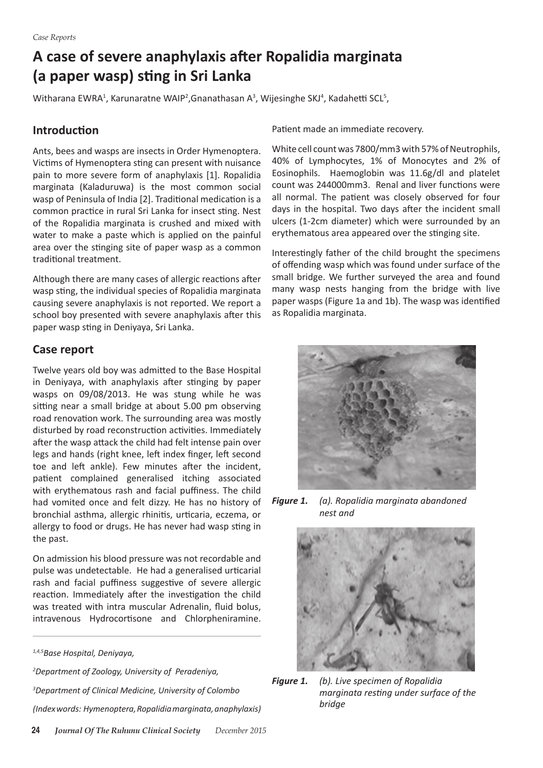# **A case of severe anaphylaxis after Ropalidia marginata (a paper wasp) sting in Sri Lanka**

Witharana EWRA<sup>1</sup>, Karunaratne WAIP<sup>2</sup>, Gnanathasan A<sup>3</sup>, Wijesinghe SKJ<sup>4</sup>, Kadahetti SCL<sup>5</sup>,

#### **Introduction**

Ants, bees and wasps are insects in Order Hymenoptera. Victims of Hymenoptera sting can present with nuisance pain to more severe form of anaphylaxis [1]. Ropalidia marginata (Kaladuruwa) is the most common social wasp of Peninsula of India [2]. Traditional medication is a common practice in rural Sri Lanka for insect sting. Nest of the Ropalidia marginata is crushed and mixed with water to make a paste which is applied on the painful area over the stinging site of paper wasp as a common traditional treatment.

Although there are many cases of allergic reactions after wasp sting, the individual species of Ropalidia marginata causing severe anaphylaxis is not reported. We report a school boy presented with severe anaphylaxis after this paper wasp sting in Deniyaya, Sri Lanka.

### **Case report**

Twelve years old boy was admitted to the Base Hospital in Deniyaya, with anaphylaxis after stinging by paper wasps on 09/08/2013. He was stung while he was sitting near a small bridge at about 5.00 pm observing road renovation work. The surrounding area was mostly disturbed by road reconstruction activities. Immediately after the wasp attack the child had felt intense pain over legs and hands (right knee, left index finger, left second toe and left ankle). Few minutes after the incident, patient complained generalised itching associated with erythematous rash and facial puffiness. The child had vomited once and felt dizzy. He has no history of bronchial asthma, allergic rhinitis, urticaria, eczema, or allergy to food or drugs. He has never had wasp sting in the past.

On admission his blood pressure was not recordable and pulse was undetectable. He had a generalised urticarial rash and facial puffiness suggestive of severe allergic reaction. Immediately after the investigation the child was treated with intra muscular Adrenalin, fluid bolus, intravenous Hydrocortisone and Chlorpheniramine.

*1,4,5Base Hospital, Deniyaya,* 

*2 Department of Zoology, University of Peradeniya, 3 Department of Clinical Medicine, University of Colombo (Index words: Hymenoptera, Ropalidia marginata, anaphylaxis)* Patient made an immediate recovery.

White cell count was 7800/mm3 with 57% of Neutrophils. 40% of Lymphocytes, 1% of Monocytes and 2% of Eosinophils. Haemoglobin was 11.6g/dl and platelet count was 244000mm3. Renal and liver functions were all normal. The patient was closely observed for four days in the hospital. Two days after the incident small ulcers (1-2cm diameter) which were surrounded by an erythematous area appeared over the stinging site.

Interestingly father of the child brought the specimens of offending wasp which was found under surface of the small bridge. We further surveyed the area and found many wasp nests hanging from the bridge with live paper wasps (Figure 1a and 1b). The wasp was identified as Ropalidia marginata.



*Figure 1. (a). Ropalidia marginata abandoned nest and* 



*Figure 1. (b). Live specimen of Ropalidia marginata resting under surface of the bridge*